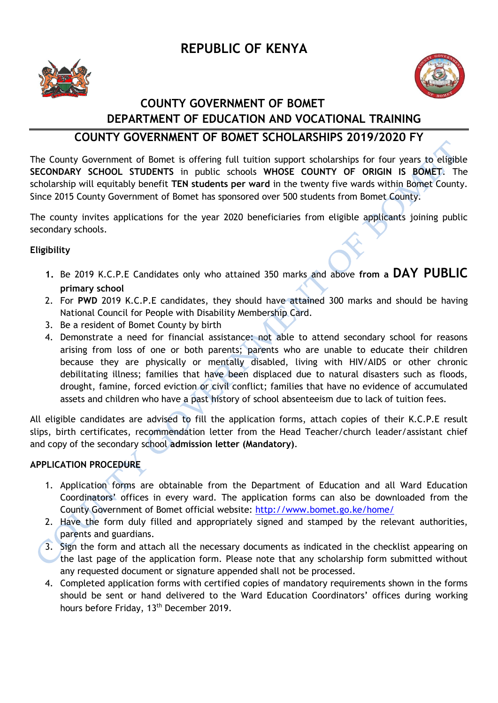## **REPUBLIC OF KENYA**





## **COUNTY GOVERNMENT OF BOMET DEPARTMENT OF EDUCATION AND VOCATIONAL TRAINING**

### **COUNTY GOVERNMENT OF BOMET SCHOLARSHIPS 2019/2020 FY**

The County Government of Bomet is offering full tuition support scholarships for four years to eligible **SECONDARY SCHOOL STUDENTS** in public schools **WHOSE COUNTY OF ORIGIN IS BOMET**. The scholarship will equitably benefit **TEN students per ward** in the twenty five wards within Bomet County. Since 2015 County Government of Bomet has sponsored over 500 students from Bomet County.

The county invites applications for the year 2020 beneficiaries from eligible applicants joining public secondary schools.

#### **Eligibility**

- **1.** Be 2019 K.C.P.E Candidates only who attained 350 marks and above **from a DAY PUBLIC primary school**
- 2. For **PWD** 2019 K.C.P.E candidates, they should have attained 300 marks and should be having National Council for People with Disability Membership Card.
- 3. Be a resident of Bomet County by birth
- 4. Demonstrate a need for financial assistance: not able to attend secondary school for reasons arising from loss of one or both parents; parents who are unable to educate their children because they are physically or mentally disabled, living with HIV/AIDS or other chronic debilitating illness; families that have been displaced due to natural disasters such as floods, drought, famine, forced eviction or civil conflict; families that have no evidence of accumulated assets and children who have a past history of school absenteeism due to lack of tuition fees.

All eligible candidates are advised to fill the application forms, attach copies of their K.C.P.E result slips, birth certificates, recommendation letter from the Head Teacher/church leader/assistant chief and copy of the secondary school **admission letter (Mandatory)**.

#### **APPLICATION PROCEDURE**

- 1. Application forms are obtainable from the Department of Education and all Ward Education Coordinators' offices in every ward. The application forms can also be downloaded from the County Government of Bomet official website:<http://www.bomet.go.ke/home/>
- 2. Have the form duly filled and appropriately signed and stamped by the relevant authorities, parents and guardians.
- 3. Sign the form and attach all the necessary documents as indicated in the checklist appearing on the last page of the application form. Please note that any scholarship form submitted without any requested document or signature appended shall not be processed.
- 4. Completed application forms with certified copies of mandatory requirements shown in the forms should be sent or hand delivered to the Ward Education Coordinators' offices during working hours before Friday, 13<sup>th</sup> December 2019.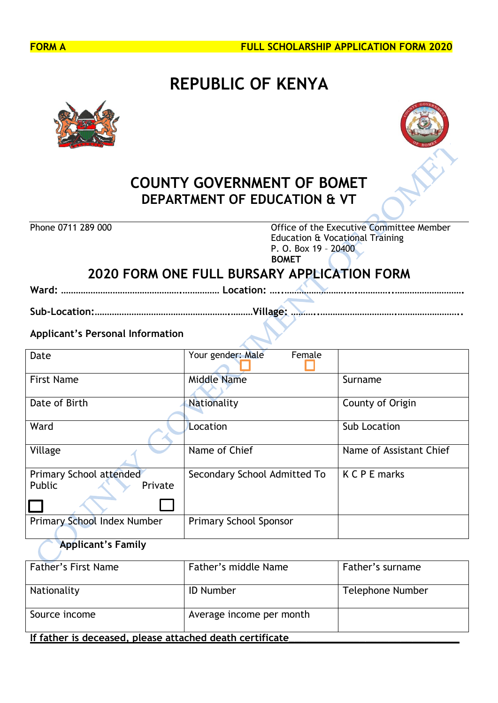

# **REPUBLIC OF KENYA**





## **COUNTY GOVERNMENT OF BOMET DEPARTMENT OF EDUCATION & VT**

Phone 0711 289 000 **Office of the Executive Committee Member** Education & Vocational Training P. O. Box 19 – 20400  **BOMET**

## **2020 FORM ONE FULL BURSARY APPLICATION FORM**

**Ward: ………………………………………….…………… Location: …..…………………….….…………..……………………….**

**Sub-Location:……………………………………………….………Village: ………..………………………….……………………..**

#### **Applicant's Personal Information**

| Date                                         | Your gender: Male<br>Female   |                         |
|----------------------------------------------|-------------------------------|-------------------------|
| <b>First Name</b>                            | <b>Middle Name</b>            | Surname                 |
| Date of Birth                                | Nationality                   | County of Origin        |
| Ward                                         | Location                      | Sub Location            |
| Village                                      | Name of Chief                 | Name of Assistant Chief |
| Primary School attended<br>Public<br>Private | Secondary School Admitted To  | <b>K C P E marks</b>    |
|                                              |                               |                         |
| Primary School Index Number                  | <b>Primary School Sponsor</b> |                         |

### **Applicant's Family**

| <b>Father's First Name</b>                               | Father's middle Name | Father's surname |  |  |
|----------------------------------------------------------|----------------------|------------------|--|--|
| Nationality                                              | <b>ID Number</b>     | Telephone Number |  |  |
| Source income<br>Average income per month                |                      |                  |  |  |
| If father is deceased, please attached death certificate |                      |                  |  |  |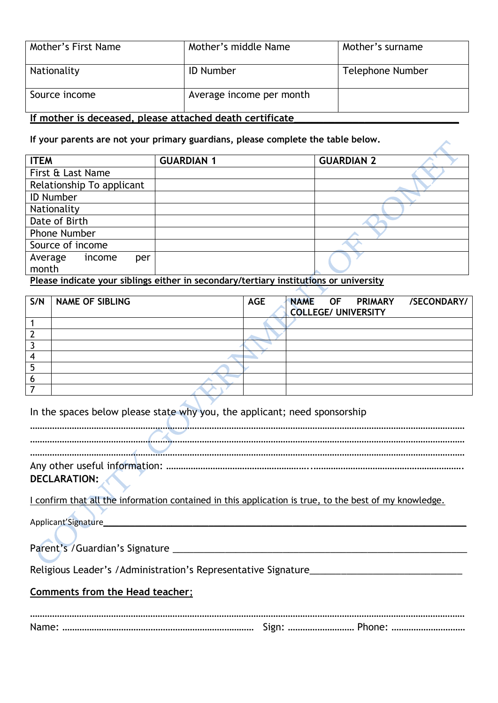| Mother's First Name | Mother's middle Name     | Mother's surname |
|---------------------|--------------------------|------------------|
| Nationality         | <b>ID Number</b>         | Telephone Number |
| Source income       | Average income per month |                  |

#### **If mother is deceased, please attached death certificate\_\_\_\_\_\_\_\_\_\_\_\_\_\_\_\_\_\_\_\_\_\_\_\_\_\_\_\_**

#### **If your parents are not your primary guardians, please complete the table below.**

| <b>ITEM</b>                                            | <b>GUARDIAN 1</b> | <b>GUARDIAN 2</b>        |
|--------------------------------------------------------|-------------------|--------------------------|
| First & Last Name                                      |                   |                          |
| Relationship To applicant                              |                   |                          |
| <b>ID Number</b>                                       |                   |                          |
| Nationality                                            |                   |                          |
| Date of Birth                                          |                   |                          |
| Phone Number                                           |                   |                          |
| Source of income                                       |                   |                          |
| Average<br>income<br>per                               |                   |                          |
| month                                                  |                   |                          |
| $\cdots$<br>$\sim$ 1 $\sim$<br>$\bullet$ and $\bullet$ | $\bullet$         | $\bullet$<br>$\bullet$ . |

Z

**Please indicate your siblings either in secondary/tertiary institutions or university**

| S/N | <b>NAME OF SIBLING</b> | <b>AGE</b> | NAME OF PRIMARY /SECONDARY/<br><b>COLLEGE/ UNIVERSITY</b> |
|-----|------------------------|------------|-----------------------------------------------------------|
|     |                        |            |                                                           |
|     |                        |            |                                                           |
|     |                        |            |                                                           |
|     |                        |            |                                                           |
|     |                        |            |                                                           |
|     |                        |            |                                                           |
|     |                        |            |                                                           |

 $\mathbf{z}$ In the spaces below please state why you, the applicant; need sponsorship

| DECLARATION: |  |
|--------------|--|
|              |  |

I confirm that all the information contained in this application is true, to the best of my knowledge.

Applicant'Signature\_\_\_\_\_\_\_\_\_\_\_\_\_\_\_\_\_\_\_\_\_\_\_\_\_\_\_\_\_\_\_\_\_\_\_\_\_\_\_\_\_\_\_\_\_\_\_\_\_\_\_\_\_\_\_\_\_\_\_\_\_\_\_\_\_\_\_\_\_

 $\mathcal{L}$ 

|  | Parent's / Guardian's Signature |  |
|--|---------------------------------|--|
|  |                                 |  |

Religious Leader's /Administration's Representative Signature

#### **Comments from the Head teacher**;

| Name: | - . |  |
|-------|-----|--|